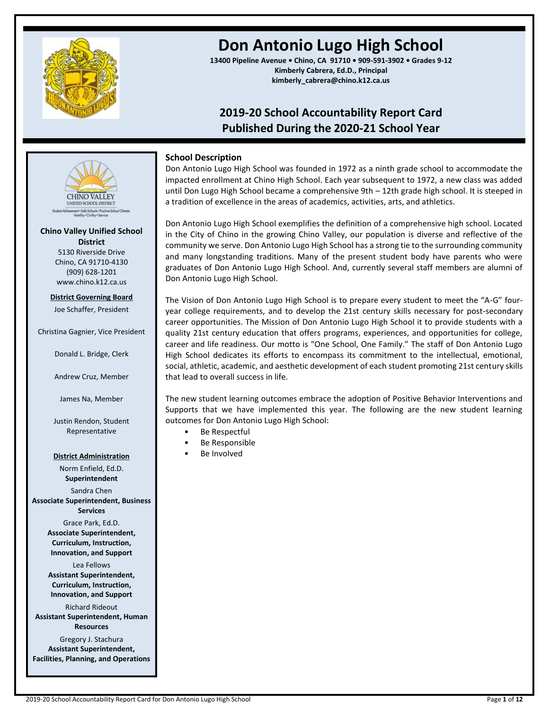

# **Don Antonio Lugo High School**

**13400 Pipeline Avenue • Chino, CA 91710 • 909-591-3902 • Grades 9-12 Kimberly Cabrera, Ed.D., Principal kimberly\_cabrera@chino.k12.ca.us**

## **2019-20 School Accountability Report Card Published During the 2020-21 School Year**

### **School Description**

Don Antonio Lugo High School was founded in 1972 as a ninth grade school to accommodate the impacted enrollment at Chino High School. Each year subsequent to 1972, a new class was added until Don Lugo High School became a comprehensive 9th – 12th grade high school. It is steeped in a tradition of excellence in the areas of academics, activities, arts, and athletics.

Don Antonio Lugo High School exemplifies the definition of a comprehensive high school. Located in the City of Chino in the growing Chino Valley, our population is diverse and reflective of the community we serve. Don Antonio Lugo High School has a strong tie to the surrounding community and many longstanding traditions. Many of the present student body have parents who were graduates of Don Antonio Lugo High School. And, currently several staff members are alumni of Don Antonio Lugo High School.

The Vision of Don Antonio Lugo High School is to prepare every student to meet the "A-G" fouryear college requirements, and to develop the 21st century skills necessary for post-secondary career opportunities. The Mission of Don Antonio Lugo High School it to provide students with a quality 21st century education that offers programs, experiences, and opportunities for college, career and life readiness. Our motto is "One School, One Family." The staff of Don Antonio Lugo High School dedicates its efforts to encompass its commitment to the intellectual, emotional, social, athletic, academic, and aesthetic development of each student promoting 21st century skills that lead to overall success in life.

The new student learning outcomes embrace the adoption of Positive Behavior Interventions and Supports that we have implemented this year. The following are the new student learning outcomes for Don Antonio Lugo High School:

- Be Respectful
- Be Responsible
- Be Involved

**District** 5130 Riverside Drive Chino, CA 91710-4130 (909) 628-1201 www.chino.k12.ca.us

**District Governing Board**

**Chino Valley Unified School** 

ent + Safe Schools + Pasitive Sc<br>Humility + Civility + Service

**CHINO VALLEY** 

Joe Schaffer, President

Christina Gagnier, Vice President

Donald L. Bridge, Clerk

Andrew Cruz, Member

James Na, Member

Justin Rendon, Student Representative

### **District Administration**

Norm Enfield, Ed.D. **Superintendent** Sandra Chen **Associate Superintendent, Business** 

**Services**

Grace Park, Ed.D. **Associate Superintendent, Curriculum, Instruction, Innovation, and Support**

Lea Fellows **Assistant Superintendent, Curriculum, Instruction, Innovation, and Support**

Richard Rideout **Assistant Superintendent, Human Resources**

Gregory J. Stachura **Assistant Superintendent, Facilities, Planning, and Operations**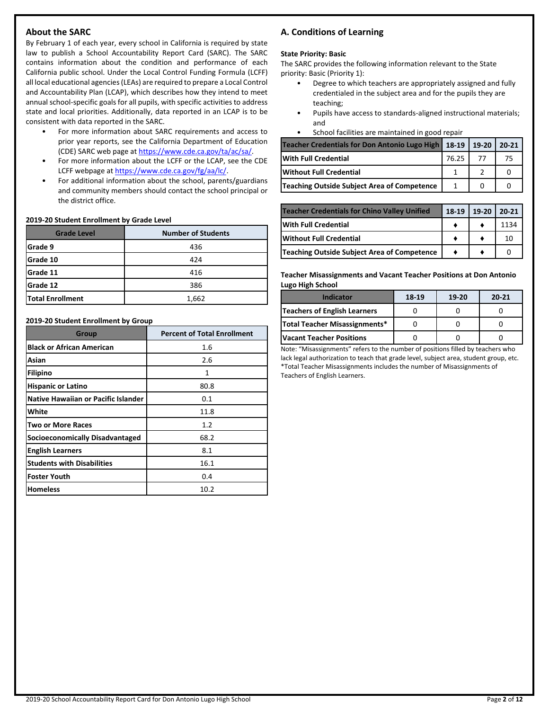### **About the SARC**

By February 1 of each year, every school in California is required by state law to publish a School Accountability Report Card (SARC). The SARC contains information about the condition and performance of each California public school. Under the Local Control Funding Formula (LCFF) all local educational agencies (LEAs) are required to prepare a Local Control and Accountability Plan (LCAP), which describes how they intend to meet annual school-specific goals for all pupils, with specific activities to address state and local priorities. Additionally, data reported in an LCAP is to be consistent with data reported in the SARC.

- For more information about SARC requirements and access to prior year reports, see the California Department of Education (CDE) SARC web page at [https://www.cde.ca.gov/ta/ac/sa/.](https://www.cde.ca.gov/ta/ac/sa/)
- For more information about the LCFF or the LCAP, see the CDE LCFF webpage a[t https://www.cde.ca.gov/fg/aa/lc/.](https://www.cde.ca.gov/fg/aa/lc/)
- For additional information about the school, parents/guardians and community members should contact the school principal or the district office.

#### **2019-20 Student Enrollment by Grade Level**

| <b>Grade Level</b>      | <b>Number of Students</b> |
|-------------------------|---------------------------|
| Grade 9                 | 436                       |
| Grade 10                | 424                       |
| Grade 11                | 416                       |
| Grade 12                | 386                       |
| <b>Total Enrollment</b> | 1,662                     |

#### **2019-20 Student Enrollment by Group**

| <b>Group</b>                           | <b>Percent of Total Enrollment</b> |
|----------------------------------------|------------------------------------|
| <b>Black or African American</b>       | 1.6                                |
| Asian                                  | 2.6                                |
| Filipino                               | 1                                  |
| <b>Hispanic or Latino</b>              | 80.8                               |
| Native Hawaiian or Pacific Islander    | 0.1                                |
| White                                  | 11.8                               |
| <b>Two or More Races</b>               | 1.2                                |
| <b>Socioeconomically Disadvantaged</b> | 68.2                               |
| <b>English Learners</b>                | 8.1                                |
| <b>Students with Disabilities</b>      | 16.1                               |
| <b>Foster Youth</b>                    | 0.4                                |
| <b>Homeless</b>                        | 10.2                               |

### **A. Conditions of Learning**

#### **State Priority: Basic**

The SARC provides the following information relevant to the State priority: Basic (Priority 1):

- Degree to which teachers are appropriately assigned and fully credentialed in the subject area and for the pupils they are teaching;
- Pupils have access to standards-aligned instructional materials; and
- School facilities are maintained in good repair

| Teacher Credentials for Don Antonio Lugo High   18-19   19-20   20-21 |       |      |     |
|-----------------------------------------------------------------------|-------|------|-----|
| <b>With Full Credential</b>                                           | 76.25 | - 77 | -75 |
| <b>Without Full Credential</b>                                        |       |      |     |
| Teaching Outside Subject Area of Competence                           |       |      |     |

| <b>Teacher Credentials for Chino Valley Unified</b> | 18-19 | 19-20 20-21 |      |
|-----------------------------------------------------|-------|-------------|------|
| <b>With Full Credential</b>                         |       |             | 1134 |
| <b>Without Full Credential</b>                      |       |             | 10   |
| Teaching Outside Subject Area of Competence         |       |             |      |

**Teacher Misassignments and Vacant Teacher Positions at Don Antonio Lugo High School**

| <b>Indicator</b>                 | 18-19 | $19-20$ | $20 - 21$ |
|----------------------------------|-------|---------|-----------|
| Teachers of English Learners     |       |         |           |
| Total Teacher Misassignments*    |       |         |           |
| <b>IVacant Teacher Positions</b> |       |         |           |

Note: "Misassignments" refers to the number of positions filled by teachers who lack legal authorization to teach that grade level, subject area, student group, etc. \*Total Teacher Misassignments includes the number of Misassignments of Teachers of English Learners.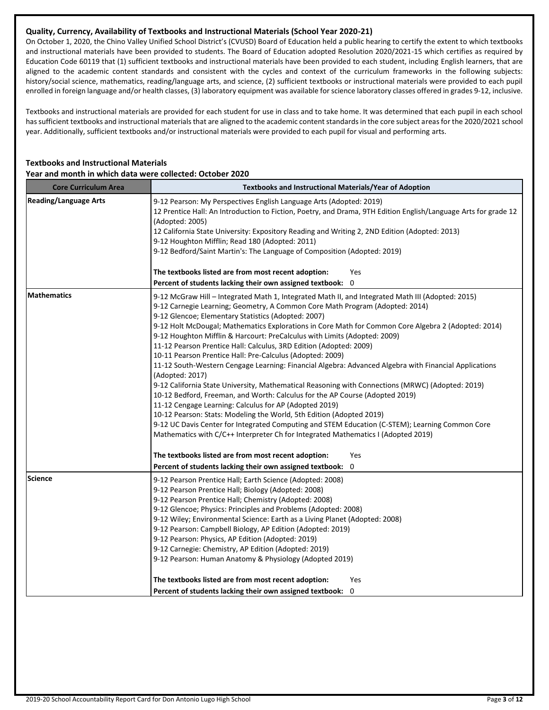### **Quality, Currency, Availability of Textbooks and Instructional Materials (School Year 2020-21)**

On October 1, 2020, the Chino Valley Unified School District's (CVUSD) Board of Education held a public hearing to certify the extent to which textbooks and instructional materials have been provided to students. The Board of Education adopted Resolution 2020/2021-15 which certifies as required by Education Code 60119 that (1) sufficient textbooks and instructional materials have been provided to each student, including English learners, that are aligned to the academic content standards and consistent with the cycles and context of the curriculum frameworks in the following subjects: history/social science, mathematics, reading/language arts, and science, (2) sufficient textbooks or instructional materials were provided to each pupil enrolled in foreign language and/or health classes, (3) laboratory equipment was available for science laboratory classes offered in grades 9-12, inclusive.

Textbooks and instructional materials are provided for each student for use in class and to take home. It was determined that each pupil in each school has sufficient textbooks and instructional materials that are aligned to the academic content standards in the core subject areas for the 2020/2021 school year. Additionally, sufficient textbooks and/or instructional materials were provided to each pupil for visual and performing arts.

### **Textbooks and Instructional Materials Year and month in which data were collected: October 2020**

| <b>Core Curriculum Area</b>  | <b>Textbooks and Instructional Materials/Year of Adoption</b>                                                                                                                                                                                                                                                                                                                                                                                                                                                                                                                                                                                                                                                                                                                                                                                                                                                                                                                                                                                                                                                                                                                                             |
|------------------------------|-----------------------------------------------------------------------------------------------------------------------------------------------------------------------------------------------------------------------------------------------------------------------------------------------------------------------------------------------------------------------------------------------------------------------------------------------------------------------------------------------------------------------------------------------------------------------------------------------------------------------------------------------------------------------------------------------------------------------------------------------------------------------------------------------------------------------------------------------------------------------------------------------------------------------------------------------------------------------------------------------------------------------------------------------------------------------------------------------------------------------------------------------------------------------------------------------------------|
| <b>Reading/Language Arts</b> | 9-12 Pearson: My Perspectives English Language Arts (Adopted: 2019)<br>12 Prentice Hall: An Introduction to Fiction, Poetry, and Drama, 9TH Edition English/Language Arts for grade 12<br>(Adopted: 2005)<br>12 California State University: Expository Reading and Writing 2, 2ND Edition (Adopted: 2013)<br>9-12 Houghton Mifflin; Read 180 (Adopted: 2011)<br>9-12 Bedford/Saint Martin's: The Language of Composition (Adopted: 2019)<br>The textbooks listed are from most recent adoption:<br>Yes                                                                                                                                                                                                                                                                                                                                                                                                                                                                                                                                                                                                                                                                                                   |
|                              | Percent of students lacking their own assigned textbook: 0                                                                                                                                                                                                                                                                                                                                                                                                                                                                                                                                                                                                                                                                                                                                                                                                                                                                                                                                                                                                                                                                                                                                                |
| <b>Mathematics</b>           | 9-12 McGraw Hill - Integrated Math 1, Integrated Math II, and Integrated Math III (Adopted: 2015)<br>9-12 Carnegie Learning; Geometry, A Common Core Math Program (Adopted: 2014)<br>9-12 Glencoe; Elementary Statistics (Adopted: 2007)<br>9-12 Holt McDougal; Mathematics Explorations in Core Math for Common Core Algebra 2 (Adopted: 2014)<br>9-12 Houghton Mifflin & Harcourt: PreCalculus with Limits (Adopted: 2009)<br>11-12 Pearson Prentice Hall: Calculus, 3RD Edition (Adopted: 2009)<br>10-11 Pearson Prentice Hall: Pre-Calculus (Adopted: 2009)<br>11-12 South-Western Cengage Learning: Financial Algebra: Advanced Algebra with Financial Applications<br>(Adopted: 2017)<br>9-12 California State University, Mathematical Reasoning with Connections (MRWC) (Adopted: 2019)<br>10-12 Bedford, Freeman, and Worth: Calculus for the AP Course (Adopted 2019)<br>11-12 Cengage Learning: Calculus for AP (Adopted 2019)<br>10-12 Pearson: Stats: Modeling the World, 5th Edition (Adopted 2019)<br>9-12 UC Davis Center for Integrated Computing and STEM Education (C-STEM); Learning Common Core<br>Mathematics with C/C++ Interpreter Ch for Integrated Mathematics I (Adopted 2019) |
|                              | The textbooks listed are from most recent adoption:<br>Yes<br>Percent of students lacking their own assigned textbook: 0                                                                                                                                                                                                                                                                                                                                                                                                                                                                                                                                                                                                                                                                                                                                                                                                                                                                                                                                                                                                                                                                                  |
| Science                      | 9-12 Pearson Prentice Hall; Earth Science (Adopted: 2008)<br>9-12 Pearson Prentice Hall; Biology (Adopted: 2008)<br>9-12 Pearson Prentice Hall; Chemistry (Adopted: 2008)<br>9-12 Glencoe; Physics: Principles and Problems (Adopted: 2008)<br>9-12 Wiley; Environmental Science: Earth as a Living Planet (Adopted: 2008)<br>9-12 Pearson: Campbell Biology, AP Edition (Adopted: 2019)<br>9-12 Pearson: Physics, AP Edition (Adopted: 2019)<br>9-12 Carnegie: Chemistry, AP Edition (Adopted: 2019)<br>9-12 Pearson: Human Anatomy & Physiology (Adopted 2019)                                                                                                                                                                                                                                                                                                                                                                                                                                                                                                                                                                                                                                          |
|                              | The textbooks listed are from most recent adoption:<br>Yes                                                                                                                                                                                                                                                                                                                                                                                                                                                                                                                                                                                                                                                                                                                                                                                                                                                                                                                                                                                                                                                                                                                                                |
|                              | Percent of students lacking their own assigned textbook: 0                                                                                                                                                                                                                                                                                                                                                                                                                                                                                                                                                                                                                                                                                                                                                                                                                                                                                                                                                                                                                                                                                                                                                |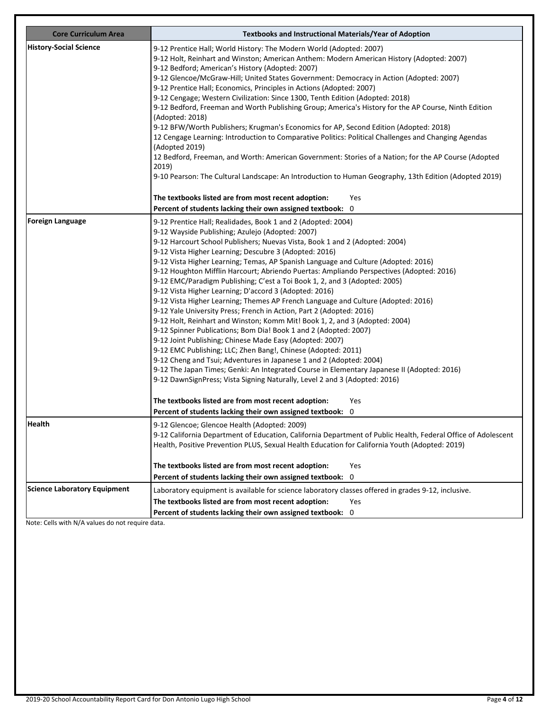| <b>Core Curriculum Area</b>         | <b>Textbooks and Instructional Materials/Year of Adoption</b>                                                                                                                                                                                                                                                                                                                                                                                                                                                                                                                                                                                                                                                                                                                                                                                                                                                                                                                                                                                                                                                                                                                                                                                                                        |
|-------------------------------------|--------------------------------------------------------------------------------------------------------------------------------------------------------------------------------------------------------------------------------------------------------------------------------------------------------------------------------------------------------------------------------------------------------------------------------------------------------------------------------------------------------------------------------------------------------------------------------------------------------------------------------------------------------------------------------------------------------------------------------------------------------------------------------------------------------------------------------------------------------------------------------------------------------------------------------------------------------------------------------------------------------------------------------------------------------------------------------------------------------------------------------------------------------------------------------------------------------------------------------------------------------------------------------------|
| <b>History-Social Science</b>       | 9-12 Prentice Hall; World History: The Modern World (Adopted: 2007)<br>9-12 Holt, Reinhart and Winston; American Anthem: Modern American History (Adopted: 2007)<br>9-12 Bedford; American's History (Adopted: 2007)<br>9-12 Glencoe/McGraw-Hill; United States Government: Democracy in Action (Adopted: 2007)<br>9-12 Prentice Hall; Economics, Principles in Actions (Adopted: 2007)<br>9-12 Cengage; Western Civilization: Since 1300, Tenth Edition (Adopted: 2018)<br>9-12 Bedford, Freeman and Worth Publishing Group; America's History for the AP Course, Ninth Edition<br>(Adopted: 2018)<br>9-12 BFW/Worth Publishers; Krugman's Economics for AP, Second Edition (Adopted: 2018)<br>12 Cengage Learning: Introduction to Comparative Politics: Political Challenges and Changing Agendas<br>(Adopted 2019)<br>12 Bedford, Freeman, and Worth: American Government: Stories of a Nation; for the AP Course (Adopted<br>2019)<br>9-10 Pearson: The Cultural Landscape: An Introduction to Human Geography, 13th Edition (Adopted 2019)<br>The textbooks listed are from most recent adoption:                                                                                                                                                                              |
|                                     | Yes<br>Percent of students lacking their own assigned textbook: 0                                                                                                                                                                                                                                                                                                                                                                                                                                                                                                                                                                                                                                                                                                                                                                                                                                                                                                                                                                                                                                                                                                                                                                                                                    |
| <b>Foreign Language</b>             | 9-12 Prentice Hall; Realidades, Book 1 and 2 (Adopted: 2004)<br>9-12 Wayside Publishing; Azulejo (Adopted: 2007)<br>9-12 Harcourt School Publishers; Nuevas Vista, Book 1 and 2 (Adopted: 2004)<br>9-12 Vista Higher Learning; Descubre 3 (Adopted: 2016)<br>9-12 Vista Higher Learning; Temas, AP Spanish Language and Culture (Adopted: 2016)<br>9-12 Houghton Mifflin Harcourt; Abriendo Puertas: Ampliando Perspectives (Adopted: 2016)<br>9-12 EMC/Paradigm Publishing; C'est a Toi Book 1, 2, and 3 (Adopted: 2005)<br>9-12 Vista Higher Learning; D'accord 3 (Adopted: 2016)<br>9-12 Vista Higher Learning; Themes AP French Language and Culture (Adopted: 2016)<br>9-12 Yale University Press; French in Action, Part 2 (Adopted: 2016)<br>9-12 Holt, Reinhart and Winston; Komm Mit! Book 1, 2, and 3 (Adopted: 2004)<br>9-12 Spinner Publications; Bom Dia! Book 1 and 2 (Adopted: 2007)<br>9-12 Joint Publishing; Chinese Made Easy (Adopted: 2007)<br>9-12 EMC Publishing; LLC; Zhen Bang!, Chinese (Adopted: 2011)<br>9-12 Cheng and Tsui; Adventures in Japanese 1 and 2 (Adopted: 2004)<br>9-12 The Japan Times; Genki: An Integrated Course in Elementary Japanese II (Adopted: 2016)<br>9-12 DawnSignPress; Vista Signing Naturally, Level 2 and 3 (Adopted: 2016) |
|                                     | The textbooks listed are from most recent adoption:<br>Yes                                                                                                                                                                                                                                                                                                                                                                                                                                                                                                                                                                                                                                                                                                                                                                                                                                                                                                                                                                                                                                                                                                                                                                                                                           |
| <b>Health</b>                       | Percent of students lacking their own assigned textbook: 0<br>9-12 Glencoe; Glencoe Health (Adopted: 2009)<br>9-12 California Department of Education, California Department of Public Health, Federal Office of Adolescent<br>Health, Positive Prevention PLUS, Sexual Health Education for California Youth (Adopted: 2019)<br>The textbooks listed are from most recent adoption:<br>Yes<br>Percent of students lacking their own assigned textbook: 0                                                                                                                                                                                                                                                                                                                                                                                                                                                                                                                                                                                                                                                                                                                                                                                                                            |
| <b>Science Laboratory Equipment</b> | Laboratory equipment is available for science laboratory classes offered in grades 9-12, inclusive.<br>The textbooks listed are from most recent adoption:<br>Yes<br>Percent of students lacking their own assigned textbook: 0                                                                                                                                                                                                                                                                                                                                                                                                                                                                                                                                                                                                                                                                                                                                                                                                                                                                                                                                                                                                                                                      |

Note: Cells with N/A values do not require data.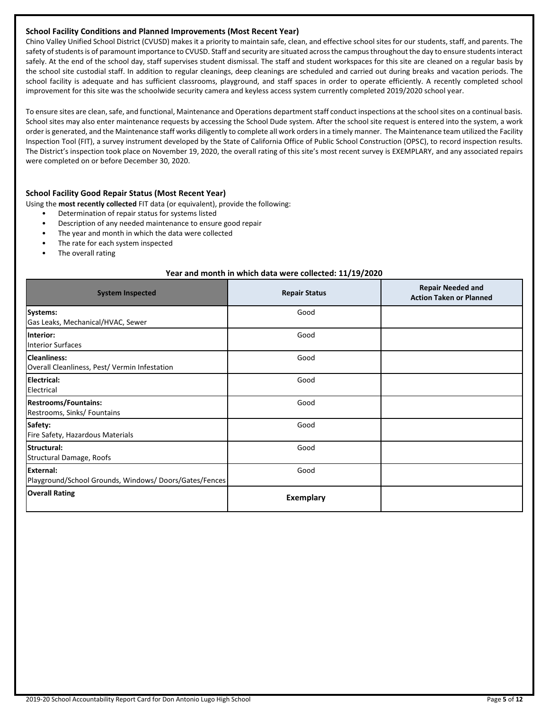#### **School Facility Conditions and Planned Improvements (Most Recent Year)**

Chino Valley Unified School District (CVUSD) makes it a priority to maintain safe, clean, and effective school sites for our students, staff, and parents. The safety of students is of paramount importance to CVUSD. Staff and security are situated across the campus throughout the day to ensure students interact safely. At the end of the school day, staff supervises student dismissal. The staff and student workspaces for this site are cleaned on a regular basis by the school site custodial staff. In addition to regular cleanings, deep cleanings are scheduled and carried out during breaks and vacation periods. The school facility is adequate and has sufficient classrooms, playground, and staff spaces in order to operate efficiently. A recently completed school improvement for this site was the schoolwide security camera and keyless access system currently completed 2019/2020 school year.

To ensure sites are clean, safe, and functional, Maintenance and Operations department staff conduct inspections at the school sites on a continual basis. School sites may also enter maintenance requests by accessing the School Dude system. After the school site request is entered into the system, a work order is generated, and the Maintenance staff works diligently to complete all work orders in a timely manner. The Maintenance team utilized the Facility Inspection Tool (FIT), a survey instrument developed by the State of California Office of Public School Construction (OPSC), to record inspection results. The District's inspection took place on November 19, 2020, the overall rating of this site's most recent survey is EXEMPLARY, and any associated repairs were completed on or before December 30, 2020.

#### **School Facility Good Repair Status (Most Recent Year)**

- Using the **most recently collected** FIT data (or equivalent), provide the following:
	- Determination of repair status for systems listed
	- Description of any needed maintenance to ensure good repair
	- The year and month in which the data were collected
	- The rate for each system inspected
	- The overall rating

#### **Year and month in which data were collected: 11/19/2020**

| <b>System Inspected</b>                                                   | <b>Repair Status</b> | <b>Repair Needed and</b><br><b>Action Taken or Planned</b> |
|---------------------------------------------------------------------------|----------------------|------------------------------------------------------------|
| <b>Systems:</b><br>Gas Leaks, Mechanical/HVAC, Sewer                      | Good                 |                                                            |
| Interior:<br><b>Interior Surfaces</b>                                     | Good                 |                                                            |
| <b>Cleanliness:</b><br>Overall Cleanliness, Pest/Vermin Infestation       | Good                 |                                                            |
| <b>IElectrical:</b><br>Electrical                                         | Good                 |                                                            |
| <b>Restrooms/Fountains:</b><br>Restrooms, Sinks/ Fountains                | Good                 |                                                            |
| Safety:<br>Fire Safety, Hazardous Materials                               | Good                 |                                                            |
| <b>Structural:</b><br>Structural Damage, Roofs                            | Good                 |                                                            |
| <b>External:</b><br>Playground/School Grounds, Windows/Doors/Gates/Fences | Good                 |                                                            |
| <b>Overall Rating</b>                                                     | <b>Exemplary</b>     |                                                            |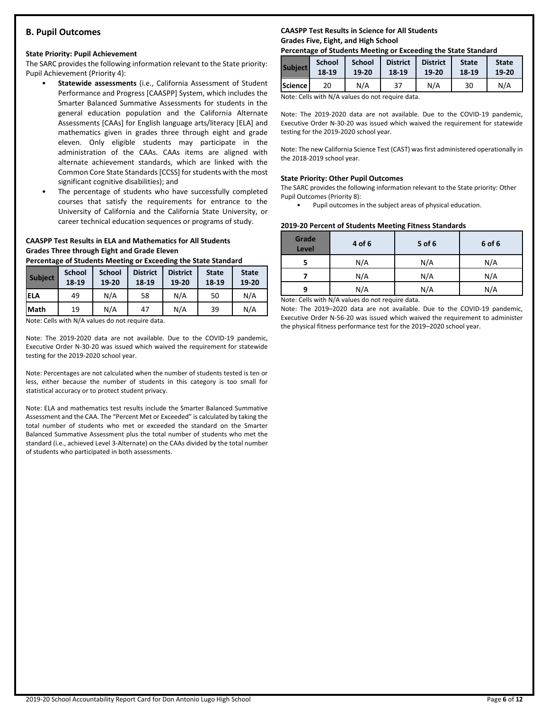### **B. Pupil Outcomes**

### **State Priority: Pupil Achievement**

The SARC provides the following information relevant to the State priority: Pupil Achievement (Priority 4):

- **Statewide assessments** (i.e., California Assessment of Student Performance and Progress [CAASPP] System, which includes the Smarter Balanced Summative Assessments for students in the general education population and the California Alternate Assessments [CAAs] for English language arts/literacy [ELA] and mathematics given in grades three through eight and grade eleven. Only eligible students may participate in the administration of the CAAs. CAAs items are aligned with alternate achievement standards, which are linked with the Common Core State Standards [CCSS] for students with the most significant cognitive disabilities); and
- The percentage of students who have successfully completed courses that satisfy the requirements for entrance to the University of California and the California State University, or career technical education sequences or programs of study.

### **CAASPP Test Results in ELA and Mathematics for All Students Grades Three through Eight and Grade Eleven**

**Percentage of Students Meeting or Exceeding the State Standard**

| <b>Subject</b> | <b>School</b><br>18-19 | <b>School</b><br>19-20 | <b>District</b><br>18-19 | <b>District</b><br>19-20 | <b>State</b><br>18-19 | <b>State</b><br>19-20 |
|----------------|------------------------|------------------------|--------------------------|--------------------------|-----------------------|-----------------------|
| ELA            | 49                     | N/A                    | 58                       | N/A                      | 50                    | N/A                   |
| <b>Math</b>    | 19                     | N/A                    | 47                       | N/A                      | 39                    | N/A                   |

Note: Cells with N/A values do not require data.

Note: The 2019-2020 data are not available. Due to the COVID-19 pandemic, Executive Order N-30-20 was issued which waived the requirement for statewide testing for the 2019-2020 school year.

Note: Percentages are not calculated when the number of students tested is ten or less, either because the number of students in this category is too small for statistical accuracy or to protect student privacy.

Note: ELA and mathematics test results include the Smarter Balanced Summative Assessment and the CAA. The "Percent Met or Exceeded" is calculated by taking the total number of students who met or exceeded the standard on the Smarter Balanced Summative Assessment plus the total number of students who met the standard (i.e., achieved Level 3-Alternate) on the CAAs divided by the total number of students who participated in both assessments.

### **CAASPP Test Results in Science for All Students Grades Five, Eight, and High School**

### **Percentage of Students Meeting or Exceeding the State Standard**

| <b>Subject</b> | <b>School</b> | <b>School</b> | <b>District</b> | <b>District</b> | <b>State</b> | <b>State</b> |
|----------------|---------------|---------------|-----------------|-----------------|--------------|--------------|
|                | 18-19         | 19-20         | 18-19           | 19-20           | 18-19        | 19-20        |
| <b>Science</b> | 20            | N/A           | 37              | N/A             | 30           | N/A          |

Note: Cells with N/A values do not require data.

Note: The 2019-2020 data are not available. Due to the COVID-19 pandemic, Executive Order N-30-20 was issued which waived the requirement for statewide testing for the 2019-2020 school year.

Note: The new California Science Test (CAST) was first administered operationally in the 2018-2019 school year.

### **State Priority: Other Pupil Outcomes**

The SARC provides the following information relevant to the State priority: Other Pupil Outcomes (Priority 8):

Pupil outcomes in the subject areas of physical education.

### **2019-20 Percent of Students Meeting Fitness Standards**

| Grade<br>Level | 4 of 6                                                                                                                                                               | 5 of 6 | 6 of 6 |
|----------------|----------------------------------------------------------------------------------------------------------------------------------------------------------------------|--------|--------|
|                | N/A                                                                                                                                                                  | N/A    | N/A    |
|                | N/A                                                                                                                                                                  | N/A    | N/A    |
| q              | N/A                                                                                                                                                                  | N/A    | N/A    |
|                | $\mathbf{A}$ and $\mathbf{A}$ are $\mathbf{A}$ and $\mathbf{A}$ and $\mathbf{A}$ are also as a set of $\mathbf{A}$ and $\mathbf{A}$ are also assumed to $\mathbf{A}$ |        |        |

Note: Cells with N/A values do not require data.

Note: The 2019–2020 data are not available. Due to the COVID-19 pandemic, Executive Order N-56-20 was issued which waived the requirement to administer the physical fitness performance test for the 2019–2020 school year.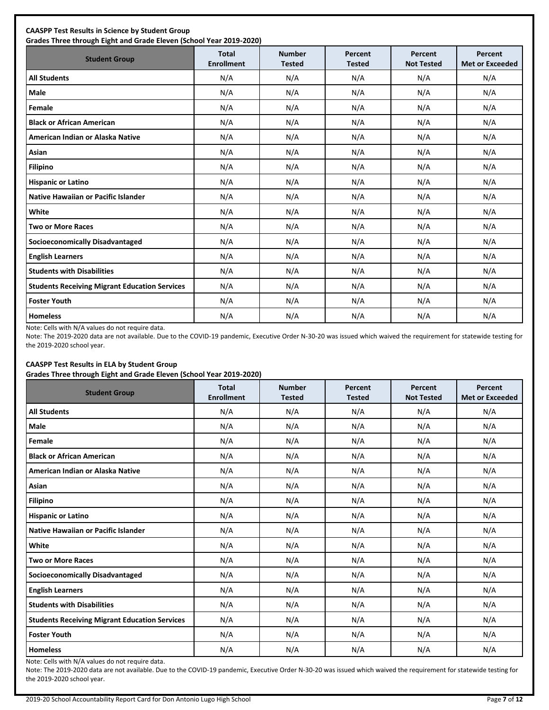| <b>Student Group</b>                                 | <b>Total</b><br><b>Enrollment</b> | <b>Number</b><br><b>Tested</b> | Percent<br><b>Tested</b> | Percent<br><b>Not Tested</b> | Percent<br><b>Met or Exceeded</b> |
|------------------------------------------------------|-----------------------------------|--------------------------------|--------------------------|------------------------------|-----------------------------------|
| <b>All Students</b>                                  | N/A                               | N/A                            | N/A                      | N/A                          | N/A                               |
| Male                                                 | N/A                               | N/A                            | N/A                      | N/A                          | N/A                               |
| Female                                               | N/A                               | N/A                            | N/A                      | N/A                          | N/A                               |
| <b>Black or African American</b>                     | N/A                               | N/A                            | N/A                      | N/A                          | N/A                               |
| American Indian or Alaska Native                     | N/A                               | N/A                            | N/A                      | N/A                          | N/A                               |
| Asian                                                | N/A                               | N/A                            | N/A                      | N/A                          | N/A                               |
| <b>Filipino</b>                                      | N/A                               | N/A                            | N/A                      | N/A                          | N/A                               |
| <b>Hispanic or Latino</b>                            | N/A                               | N/A                            | N/A                      | N/A                          | N/A                               |
| <b>Native Hawaiian or Pacific Islander</b>           | N/A                               | N/A                            | N/A                      | N/A                          | N/A                               |
| White                                                | N/A                               | N/A                            | N/A                      | N/A                          | N/A                               |
| <b>Two or More Races</b>                             | N/A                               | N/A                            | N/A                      | N/A                          | N/A                               |
| <b>Socioeconomically Disadvantaged</b>               | N/A                               | N/A                            | N/A                      | N/A                          | N/A                               |
| <b>English Learners</b>                              | N/A                               | N/A                            | N/A                      | N/A                          | N/A                               |
| <b>Students with Disabilities</b>                    | N/A                               | N/A                            | N/A                      | N/A                          | N/A                               |
| <b>Students Receiving Migrant Education Services</b> | N/A                               | N/A                            | N/A                      | N/A                          | N/A                               |
| <b>Foster Youth</b>                                  | N/A                               | N/A                            | N/A                      | N/A                          | N/A                               |
| <b>Homeless</b>                                      | N/A                               | N/A                            | N/A                      | N/A                          | N/A                               |

Note: Cells with N/A values do not require data.

Note: The 2019-2020 data are not available. Due to the COVID-19 pandemic, Executive Order N-30-20 was issued which waived the requirement for statewide testing for the 2019-2020 school year.

### **CAASPP Test Results in ELA by Student Group**

**Grades Three through Eight and Grade Eleven (School Year 2019-2020)**

| <b>Student Group</b>                                 | <b>Total</b><br><b>Enrollment</b> | <b>Number</b><br><b>Tested</b> | Percent<br><b>Tested</b> | Percent<br><b>Not Tested</b> | Percent<br><b>Met or Exceeded</b> |
|------------------------------------------------------|-----------------------------------|--------------------------------|--------------------------|------------------------------|-----------------------------------|
| <b>All Students</b>                                  | N/A                               | N/A                            | N/A                      | N/A                          | N/A                               |
| Male                                                 | N/A                               | N/A                            | N/A                      | N/A                          | N/A                               |
| Female                                               | N/A                               | N/A                            | N/A                      | N/A                          | N/A                               |
| <b>Black or African American</b>                     | N/A                               | N/A                            | N/A                      | N/A                          | N/A                               |
| American Indian or Alaska Native                     | N/A                               | N/A                            | N/A                      | N/A                          | N/A                               |
| Asian                                                | N/A                               | N/A                            | N/A                      | N/A                          | N/A                               |
| <b>Filipino</b>                                      | N/A                               | N/A                            | N/A                      | N/A                          | N/A                               |
| <b>Hispanic or Latino</b>                            | N/A                               | N/A                            | N/A                      | N/A                          | N/A                               |
| <b>Native Hawaiian or Pacific Islander</b>           | N/A                               | N/A                            | N/A                      | N/A                          | N/A                               |
| White                                                | N/A                               | N/A                            | N/A                      | N/A                          | N/A                               |
| <b>Two or More Races</b>                             | N/A                               | N/A                            | N/A                      | N/A                          | N/A                               |
| <b>Socioeconomically Disadvantaged</b>               | N/A                               | N/A                            | N/A                      | N/A                          | N/A                               |
| <b>English Learners</b>                              | N/A                               | N/A                            | N/A                      | N/A                          | N/A                               |
| <b>Students with Disabilities</b>                    | N/A                               | N/A                            | N/A                      | N/A                          | N/A                               |
| <b>Students Receiving Migrant Education Services</b> | N/A                               | N/A                            | N/A                      | N/A                          | N/A                               |
| <b>Foster Youth</b>                                  | N/A                               | N/A                            | N/A                      | N/A                          | N/A                               |
| <b>Homeless</b>                                      | N/A                               | N/A                            | N/A                      | N/A                          | N/A                               |

Note: Cells with N/A values do not require data.

Note: The 2019-2020 data are not available. Due to the COVID-19 pandemic, Executive Order N-30-20 was issued which waived the requirement for statewide testing for the 2019-2020 school year.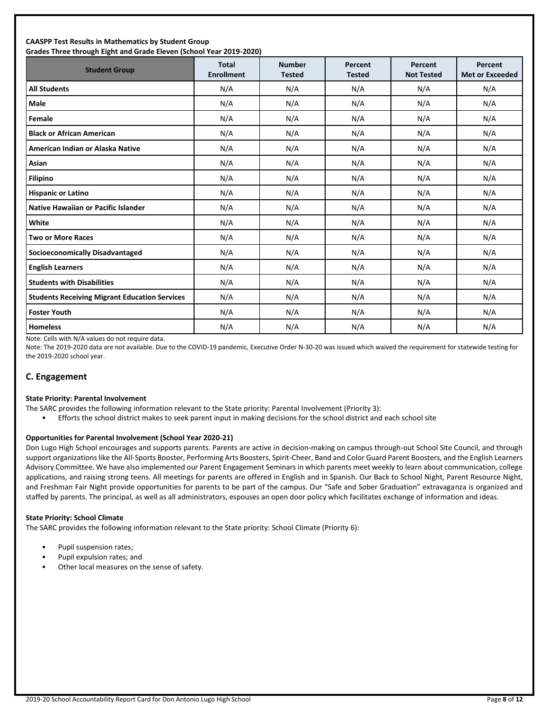#### **CAASPP Test Results in Mathematics by Student Group Grades Three through Eight and Grade Eleven (School Year 2019-2020)**

| andacs Timed through Eight and andac Eleven (School Tear Euro Euch)<br><b>Student Group</b> | <b>Total</b><br><b>Enrollment</b> | <b>Number</b><br><b>Tested</b> | Percent<br><b>Tested</b> | Percent<br><b>Not Tested</b> | Percent<br><b>Met or Exceeded</b> |
|---------------------------------------------------------------------------------------------|-----------------------------------|--------------------------------|--------------------------|------------------------------|-----------------------------------|
| <b>All Students</b>                                                                         | N/A                               | N/A                            | N/A                      | N/A                          | N/A                               |
| <b>Male</b>                                                                                 | N/A                               | N/A                            | N/A                      | N/A                          | N/A                               |
| Female                                                                                      | N/A                               | N/A                            | N/A                      | N/A                          | N/A                               |
| <b>Black or African American</b>                                                            | N/A                               | N/A                            | N/A                      | N/A                          | N/A                               |
| American Indian or Alaska Native                                                            | N/A                               | N/A                            | N/A                      | N/A                          | N/A                               |
| Asian                                                                                       | N/A                               | N/A                            | N/A                      | N/A                          | N/A                               |
| Filipino                                                                                    | N/A                               | N/A                            | N/A                      | N/A                          | N/A                               |
| <b>Hispanic or Latino</b>                                                                   | N/A                               | N/A                            | N/A                      | N/A                          | N/A                               |
| <b>Native Hawaiian or Pacific Islander</b>                                                  | N/A                               | N/A                            | N/A                      | N/A                          | N/A                               |
| White                                                                                       | N/A                               | N/A                            | N/A                      | N/A                          | N/A                               |
| <b>Two or More Races</b>                                                                    | N/A                               | N/A                            | N/A                      | N/A                          | N/A                               |
| <b>Socioeconomically Disadvantaged</b>                                                      | N/A                               | N/A                            | N/A                      | N/A                          | N/A                               |
| <b>English Learners</b>                                                                     | N/A                               | N/A                            | N/A                      | N/A                          | N/A                               |
| <b>Students with Disabilities</b>                                                           | N/A                               | N/A                            | N/A                      | N/A                          | N/A                               |
| <b>Students Receiving Migrant Education Services</b>                                        | N/A                               | N/A                            | N/A                      | N/A                          | N/A                               |
| <b>Foster Youth</b>                                                                         | N/A                               | N/A                            | N/A                      | N/A                          | N/A                               |
| <b>Homeless</b>                                                                             | N/A                               | N/A                            | N/A                      | N/A                          | N/A                               |

Note: Cells with N/A values do not require data.

Note: The 2019-2020 data are not available. Due to the COVID-19 pandemic, Executive Order N-30-20 was issued which waived the requirement for statewide testing for the 2019-2020 school year.

### **C. Engagement**

#### **State Priority: Parental Involvement**

- The SARC provides the following information relevant to the State priority: Parental Involvement (Priority 3):
	- Efforts the school district makes to seek parent input in making decisions for the school district and each school site

#### **Opportunities for Parental Involvement (School Year 2020-21)**

Don Lugo High School encourages and supports parents. Parents are active in decision-making on campus through-out School Site Council, and through support organizations like the All-Sports Booster, Performing Arts Boosters, Spirit-Cheer, Band and Color Guard Parent Boosters, and the English Learners Advisory Committee. We have also implemented our Parent Engagement Seminars in which parents meet weekly to learn about communication, college applications, and raising strong teens. All meetings for parents are offered in English and in Spanish. Our Back to School Night, Parent Resource Night, and Freshman Fair Night provide opportunities for parents to be part of the campus. Our "Safe and Sober Graduation" extravaganza is organized and staffed by parents. The principal, as well as all administrators, espouses an open door policy which facilitates exchange of information and ideas.

#### **State Priority: School Climate**

The SARC provides the following information relevant to the State priority: School Climate (Priority 6):

- Pupil suspension rates;
- Pupil expulsion rates; and
- Other local measures on the sense of safety.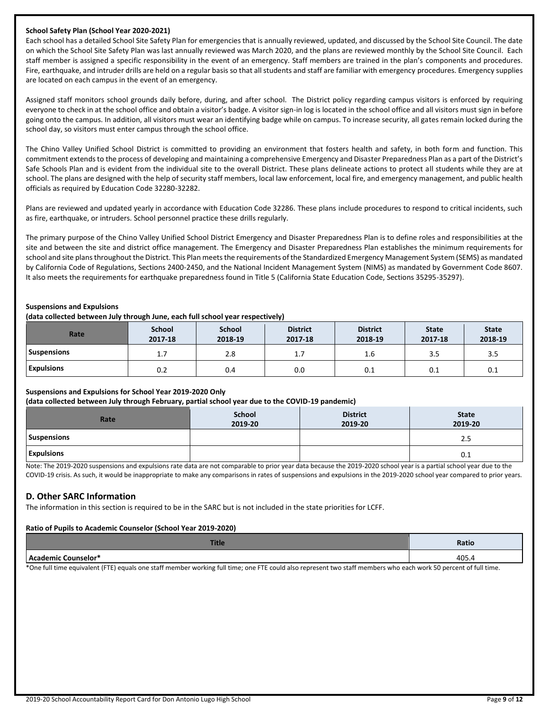#### **School Safety Plan (School Year 2020-2021)**

Each school has a detailed School Site Safety Plan for emergencies that is annually reviewed, updated, and discussed by the School Site Council. The date on which the School Site Safety Plan was last annually reviewed was March 2020, and the plans are reviewed monthly by the School Site Council. Each staff member is assigned a specific responsibility in the event of an emergency. Staff members are trained in the plan's components and procedures. Fire, earthquake, and intruder drills are held on a regular basis so that all students and staff are familiar with emergency procedures. Emergency supplies are located on each campus in the event of an emergency.

Assigned staff monitors school grounds daily before, during, and after school. The District policy regarding campus visitors is enforced by requiring everyone to check in at the school office and obtain a visitor's badge. A visitor sign-in log is located in the school office and all visitors must sign in before going onto the campus. In addition, all visitors must wear an identifying badge while on campus. To increase security, all gates remain locked during the school day, so visitors must enter campus through the school office.

The Chino Valley Unified School District is committed to providing an environment that fosters health and safety, in both form and function. This commitment extends to the process of developing and maintaining a comprehensive Emergency and Disaster Preparedness Plan as a part of the District's Safe Schools Plan and is evident from the individual site to the overall District. These plans delineate actions to protect all students while they are at school. The plans are designed with the help of security staff members, local law enforcement, local fire, and emergency management, and public health officials as required by Education Code 32280-32282.

Plans are reviewed and updated yearly in accordance with Education Code 32286. These plans include procedures to respond to critical incidents, such as fire, earthquake, or intruders. School personnel practice these drills regularly.

The primary purpose of the Chino Valley Unified School District Emergency and Disaster Preparedness Plan is to define roles and responsibilities at the site and between the site and district office management. The Emergency and Disaster Preparedness Plan establishes the minimum requirements for school and site plans throughout the District. This Plan meets the requirements of the Standardized Emergency Management System (SEMS) as mandated by California Code of Regulations, Sections 2400-2450, and the National Incident Management System (NIMS) as mandated by Government Code 8607. It also meets the requirements for earthquake preparedness found in Title 5 (California State Education Code, Sections 35295-35297).

#### **Suspensions and Expulsions**

#### **(data collected between July through June, each full school year respectively)**

| Rate               | <b>School</b><br>2017-18 | <b>School</b><br>2018-19 | <b>District</b><br>2017-18 | <b>District</b><br>2018-19 | <b>State</b><br>2017-18 | <b>State</b><br>2018-19 |
|--------------------|--------------------------|--------------------------|----------------------------|----------------------------|-------------------------|-------------------------|
| <b>Suspensions</b> | 1.,                      | 2.8                      | 1.7                        | 1.6                        | 3.5                     | 3.5                     |
| <b>Expulsions</b>  | 0.2                      | 0.4                      | 0.0                        | 0.1                        | 0.1                     | 0.1                     |

#### **Suspensions and Expulsions for School Year 2019-2020 Only**

#### **(data collected between July through February, partial school year due to the COVID-19 pandemic)**

| Rate              | School<br>2019-20 | <b>District</b><br>2019-20 | <b>State</b><br>2019-20 |
|-------------------|-------------------|----------------------------|-------------------------|
| Suspensions       |                   |                            | 2.5                     |
| <b>Expulsions</b> |                   |                            | 0.1                     |

Note: The 2019-2020 suspensions and expulsions rate data are not comparable to prior year data because the 2019-2020 school year is a partial school year due to the COVID-19 crisis. As such, it would be inappropriate to make any comparisons in rates of suspensions and expulsions in the 2019-2020 school year compared to prior years.

### **D. Other SARC Information**

The information in this section is required to be in the SARC but is not included in the state priorities for LCFF.

#### **Ratio of Pupils to Academic Counselor (School Year 2019-2020)**

|             | Ratio      |
|-------------|------------|
| enselor and | AC<br>rvj. |

\*One full time equivalent (FTE) equals one staff member working full time; one FTE could also represent two staff members who each work 50 percent of full time.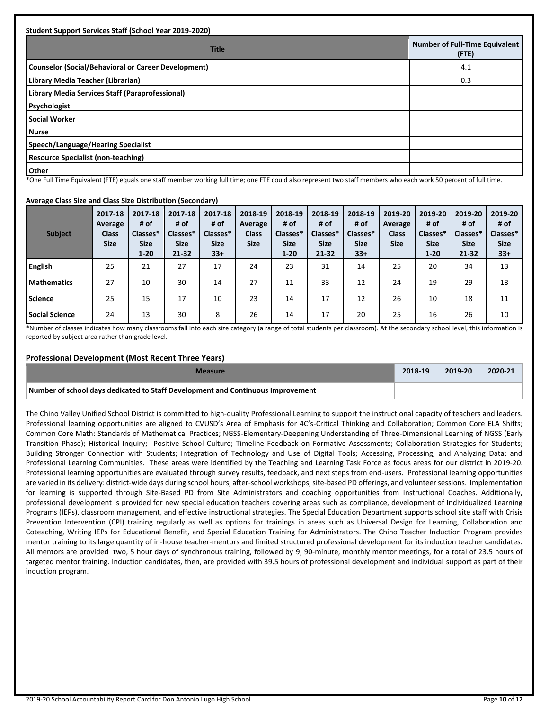| <b>Student Support Services Staff (School Year 2019-2020)</b> |                                                |
|---------------------------------------------------------------|------------------------------------------------|
| <b>Title</b>                                                  | <b>Number of Full-Time Equivalent</b><br>(FTE) |
| Counselor (Social/Behavioral or Career Development)           | 4.1                                            |
| Library Media Teacher (Librarian)                             | 0.3                                            |
| Library Media Services Staff (Paraprofessional)               |                                                |
| Psychologist                                                  |                                                |
| <b>Social Worker</b>                                          |                                                |
| <b>Nurse</b>                                                  |                                                |
| Speech/Language/Hearing Specialist                            |                                                |
| Resource Specialist (non-teaching)                            |                                                |
| <b>Other</b>                                                  |                                                |

\*One Full Time Equivalent (FTE) equals one staff member working full time; one FTE could also represent two staff members who each work 50 percent of full time.

#### **Average Class Size and Class Size Distribution (Secondary)**

| <b>Subject</b>        | 2017-18<br>Average<br><b>Class</b><br><b>Size</b> | 2017-18<br># of<br>Classes*<br><b>Size</b><br>$1 - 20$ | 2017-18<br># of<br>Classes*<br><b>Size</b><br>$21 - 32$ | 2017-18<br># of<br>Classes*<br><b>Size</b><br>$33+$ | 2018-19<br>Average<br><b>Class</b><br><b>Size</b> | 2018-19<br># of<br>Classes*<br><b>Size</b><br>$1 - 20$ | 2018-19<br># of<br>Classes*<br><b>Size</b><br>$21 - 32$ | 2018-19<br># of<br>Classes*<br><b>Size</b><br>$33+$ | 2019-20<br>Average<br><b>Class</b><br><b>Size</b> | 2019-20<br># of<br>Classes*<br><b>Size</b><br>$1 - 20$ | 2019-20<br># of<br>Classes*<br><b>Size</b><br>$21 - 32$ | 2019-20<br># of<br>Classes*<br><b>Size</b><br>$33+$ |
|-----------------------|---------------------------------------------------|--------------------------------------------------------|---------------------------------------------------------|-----------------------------------------------------|---------------------------------------------------|--------------------------------------------------------|---------------------------------------------------------|-----------------------------------------------------|---------------------------------------------------|--------------------------------------------------------|---------------------------------------------------------|-----------------------------------------------------|
| <b>English</b>        | 25                                                | 21                                                     | 27                                                      | 17                                                  | 24                                                | 23                                                     | 31                                                      | 14                                                  | 25                                                | 20                                                     | 34                                                      | 13                                                  |
| <b>Mathematics</b>    | 27                                                | 10                                                     | 30                                                      | 14                                                  | 27                                                | 11                                                     | 33                                                      | 12                                                  | 24                                                | 19                                                     | 29                                                      | 13                                                  |
| <b>Science</b>        | 25                                                | 15                                                     | 17                                                      | 10                                                  | 23                                                | 14                                                     | 17                                                      | 12                                                  | 26                                                | 10                                                     | 18                                                      | 11                                                  |
| <b>Social Science</b> | 24                                                | 13                                                     | 30                                                      | 8                                                   | 26                                                | 14                                                     | 17                                                      | 20                                                  | 25                                                | 16                                                     | 26                                                      | 10                                                  |

\*Number of classes indicates how many classrooms fall into each size category (a range of total students per classroom). At the secondary school level, this information is reported by subject area rather than grade level.

#### **Professional Development (Most Recent Three Years)**

| <b>Measure</b>                                                                  | 2018-19 | 2019-20 | 2020-21 |
|---------------------------------------------------------------------------------|---------|---------|---------|
| Number of school days dedicated to Staff Development and Continuous Improvement |         |         |         |

The Chino Valley Unified School District is committed to high-quality Professional Learning to support the instructional capacity of teachers and leaders. Professional learning opportunities are aligned to CVUSD's Area of Emphasis for 4C's-Critical Thinking and Collaboration; Common Core ELA Shifts; Common Core Math: Standards of Mathematical Practices; NGSS-Elementary-Deepening Understanding of Three-Dimensional Learning of NGSS (Early Transition Phase); Historical Inquiry; Positive School Culture; Timeline Feedback on Formative Assessments; Collaboration Strategies for Students; Building Stronger Connection with Students; Integration of Technology and Use of Digital Tools; Accessing, Processing, and Analyzing Data; and Professional Learning Communities. These areas were identified by the Teaching and Learning Task Force as focus areas for our district in 2019-20. Professional learning opportunities are evaluated through survey results, feedback, and next steps from end-users. Professional learning opportunities are varied in its delivery: district-wide days during school hours, after-school workshops, site-based PD offerings, and volunteer sessions. Implementation for learning is supported through Site-Based PD from Site Administrators and coaching opportunities from Instructional Coaches. Additionally, professional development is provided for new special education teachers covering areas such as compliance, development of Individualized Learning Programs (IEPs), classroom management, and effective instructional strategies. The Special Education Department supports school site staff with Crisis Prevention Intervention (CPI) training regularly as well as options for trainings in areas such as Universal Design for Learning, Collaboration and Coteaching, Writing IEPs for Educational Benefit, and Special Education Training for Administrators. The Chino Teacher Induction Program provides mentor training to its large quantity of in-house teacher-mentors and limited structured professional development for its induction teacher candidates. All mentors are provided two, 5 hour days of synchronous training, followed by 9, 90-minute, monthly mentor meetings, for a total of 23.5 hours of targeted mentor training. Induction candidates, then, are provided with 39.5 hours of professional development and individual support as part of their induction program.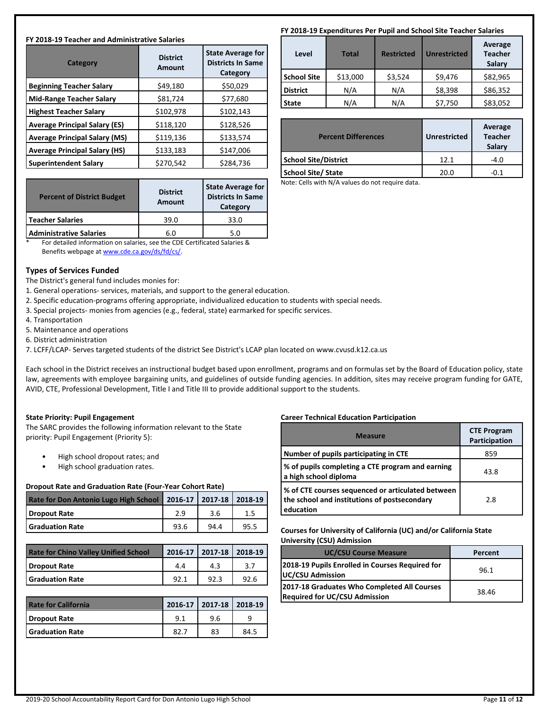### **FY 2018-19 Teacher and Administrative Salaries**

| <b>District</b><br>Amount | <b>State Average for</b><br><b>Districts In Same</b><br>Category |  |
|---------------------------|------------------------------------------------------------------|--|
| \$49,180                  | \$50,029                                                         |  |
| \$81,724                  | \$77,680                                                         |  |
| \$102,978                 | \$102,143                                                        |  |
| \$118,120                 | \$128,526                                                        |  |
| \$119,136                 | \$133,574                                                        |  |
| \$133,183                 | \$147,006                                                        |  |
| \$270,542                 | \$284,736                                                        |  |
|                           |                                                                  |  |

|      | <b>State Average for</b><br><b>Districts In Same</b><br>Category |  |
|------|------------------------------------------------------------------|--|
| 39.0 | 33.0                                                             |  |
| 6.0  | 5.0                                                              |  |
|      | <b>Amount</b>                                                    |  |

\* For detailed information on salaries, see the CDE Certificated Salaries & Benefits webpage a[t www.cde.ca.gov/ds/fd/cs/.](http://www.cde.ca.gov/ds/fd/cs/)

### **Types of Services Funded**

The District's general fund includes monies for:

- 1. General operations- services, materials, and support to the general education.
- 2. Specific education-programs offering appropriate, individualized education to students with special needs.
- 3. Special projects- monies from agencies (e.g., federal, state) earmarked for specific services.
- 4. Transportation
- 5. Maintenance and operations
- 6. District administration

7. LCFF/LCAP- Serves targeted students of the district See District's LCAP plan located on www.cvusd.k12.ca.us

Each school in the District receives an instructional budget based upon enrollment, programs and on formulas set by the Board of Education policy, state law, agreements with employee bargaining units, and guidelines of outside funding agencies. In addition, sites may receive program funding for GATE, AVID, CTE, Professional Development, Title I and Title III to provide additional support to the students.

### **State Priority: Pupil Engagement**

The SARC provides the following information relevant to the State priority: Pupil Engagement (Priority 5):

- High school dropout rates; and
- High school graduation rates.

### **Dropout Rate and Graduation Rate (Four-Year Cohort Rate)**

| Rate for Don Antonio Lugo High School 2016-17 2017-18 2018-19 |      |      |      |
|---------------------------------------------------------------|------|------|------|
| Dropout Rate                                                  | 2.9  | 3.6  | 1.5  |
| <b>Graduation Rate</b>                                        | 93.6 | 94.4 | 95.5 |

| <b>Rate for Chino Valley Unified School</b> |     | 2016-17   2017-18   2018-19 |      |
|---------------------------------------------|-----|-----------------------------|------|
| <b>Dropout Rate</b>                         | 4.4 | 4.3                         |      |
| <b>Graduation Rate</b>                      | 921 |                             | 92 R |

| <b>Rate for California</b> |      | 2016-17 2017-18 2018-19 |      |
|----------------------------|------|-------------------------|------|
| Dropout Rate               | 91   | 9.6                     |      |
| <b>Graduation Rate</b>     | 82.7 | 83                      | 84.5 |

## **FY 2018-19 Expenditures Per Pupil and School Site Teacher Salaries**

| Level              | <b>Total</b> | <b>Restricted</b> | <b>Unrestricted</b> | Average<br><b>Teacher</b><br>Salary |
|--------------------|--------------|-------------------|---------------------|-------------------------------------|
| <b>School Site</b> | \$13,000     | \$3,524           | \$9,476             | \$82,965                            |
| <b>District</b>    | N/A          | N/A               | \$8,398             | \$86,352                            |
| <b>State</b>       | N/A          | N/A               | \$7,750             | \$83,052                            |

| <b>Percent Differences</b>  | <b>Unrestricted</b> | Average<br><b>Teacher</b><br>Salary |
|-----------------------------|---------------------|-------------------------------------|
| <b>School Site/District</b> | 12.1                | $-4.0$                              |
| <b>School Site/ State</b>   | 20.0                | $-0.1$                              |

Note: Cells with N/A values do not require data.

### **Career Technical Education Participation**

| <b>Measure</b>                                                                                                 | <b>CTE Program</b><br>Participation |
|----------------------------------------------------------------------------------------------------------------|-------------------------------------|
| Number of pupils participating in CTE                                                                          | 859                                 |
| % of pupils completing a CTE program and earning<br>a high school diploma                                      | 43.8                                |
| % of CTE courses sequenced or articulated between<br>the school and institutions of postsecondary<br>education | 2.8                                 |

#### **Courses for University of California (UC) and/or California State University (CSU) Admission**

| <b>UNIVERSILY (CJU) AUTHOSIUM</b>                                                   |         |  |
|-------------------------------------------------------------------------------------|---------|--|
| <b>UC/CSU Course Measure</b>                                                        | Percent |  |
| 2018-19 Pupils Enrolled in Courses Required for<br>UC/CSU Admission                 | 96.1    |  |
| 2017-18 Graduates Who Completed All Courses<br><b>Required for UC/CSU Admission</b> | 38.46   |  |